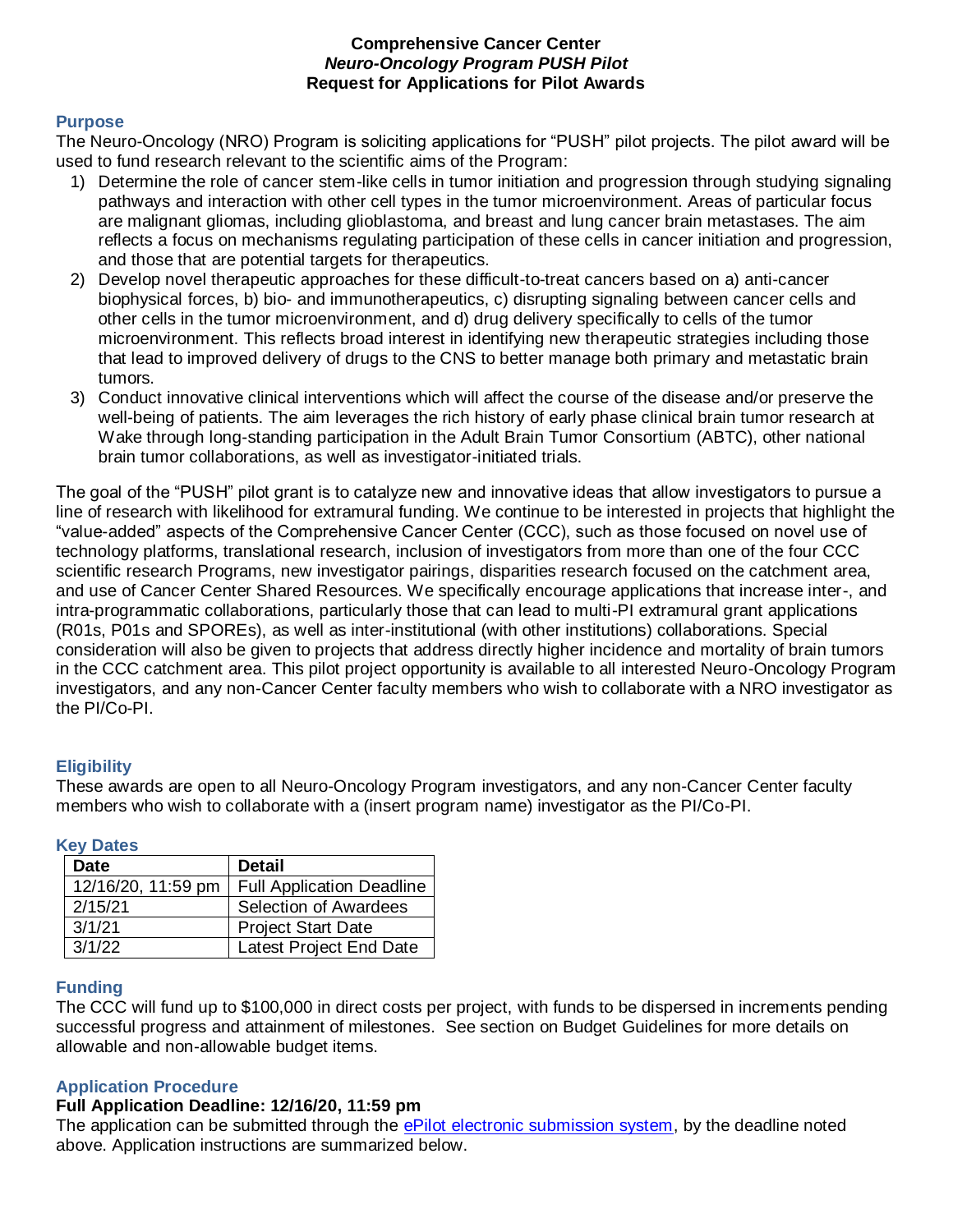#### **Comprehensive Cancer Center**  *Neuro-Oncology Program PUSH Pilot*  **Request for Applications for Pilot Awards**

#### **Purpose**

The Neuro-Oncology (NRO) Program is soliciting applications for "PUSH" pilot projects. The pilot award will be used to fund research relevant to the scientific aims of the Program:

- 1) Determine the role of cancer stem-like cells in tumor initiation and progression through studying signaling pathways and interaction with other cell types in the tumor microenvironment. Areas of particular focus are malignant gliomas, including glioblastoma, and breast and lung cancer brain metastases. The aim reflects a focus on mechanisms regulating participation of these cells in cancer initiation and progression, and those that are potential targets for therapeutics.
- 2) Develop novel therapeutic approaches for these difficult-to-treat cancers based on a) anti-cancer biophysical forces, b) bio- and immunotherapeutics, c) disrupting signaling between cancer cells and other cells in the tumor microenvironment, and d) drug delivery specifically to cells of the tumor microenvironment. This reflects broad interest in identifying new therapeutic strategies including those that lead to improved delivery of drugs to the CNS to better manage both primary and metastatic brain tumors.
- 3) Conduct innovative clinical interventions which will affect the course of the disease and/or preserve the well-being of patients. The aim leverages the rich history of early phase clinical brain tumor research at Wake through long-standing participation in the Adult Brain Tumor Consortium (ABTC), other national brain tumor collaborations, as well as investigator-initiated trials.

The goal of the "PUSH" pilot grant is to catalyze new and innovative ideas that allow investigators to pursue a line of research with likelihood for extramural funding. We continue to be interested in projects that highlight the "value-added" aspects of the Comprehensive Cancer Center (CCC), such as those focused on novel use of technology platforms, translational research, inclusion of investigators from more than one of the four CCC scientific research Programs, new investigator pairings, disparities research focused on the catchment area, and use of Cancer Center Shared Resources. We specifically encourage applications that increase inter-, and intra-programmatic collaborations, particularly those that can lead to multi-PI extramural grant applications (R01s, P01s and SPOREs), as well as inter-institutional (with other institutions) collaborations. Special consideration will also be given to projects that address directly higher incidence and mortality of brain tumors in the CCC catchment area. This pilot project opportunity is available to all interested Neuro-Oncology Program investigators, and any non-Cancer Center faculty members who wish to collaborate with a NRO investigator as the PI/Co-PI.

### **Eligibility**

These awards are open to all Neuro-Oncology Program investigators, and any non-Cancer Center faculty members who wish to collaborate with a (insert program name) investigator as the PI/Co-PI.

| ncy Dalcs |                    |                                  |
|-----------|--------------------|----------------------------------|
|           | <b>Date</b>        | <b>Detail</b>                    |
|           | 12/16/20, 11:59 pm | <b>Full Application Deadline</b> |
|           | 2/15/21            | Selection of Awardees            |
|           | 3/1/21             | <b>Project Start Date</b>        |
|           | 3/1/22             | Latest Project End Date          |

## **Key Dates**

### **Funding**

The CCC will fund up to \$100,000 in direct costs per project, with funds to be dispersed in increments pending successful progress and attainment of milestones. See section on Budget Guidelines for more details on allowable and non-allowable budget items.

### **Application Procedure**

#### **Full Application Deadline: 12/16/20, 11:59 pm**

The application can be submitted through the [ePilot electronic submission system,](https://redcap.wakehealth.edu/redcap/surveys/?s=YA9WY4XKTA) by the deadline noted above. Application instructions are summarized below.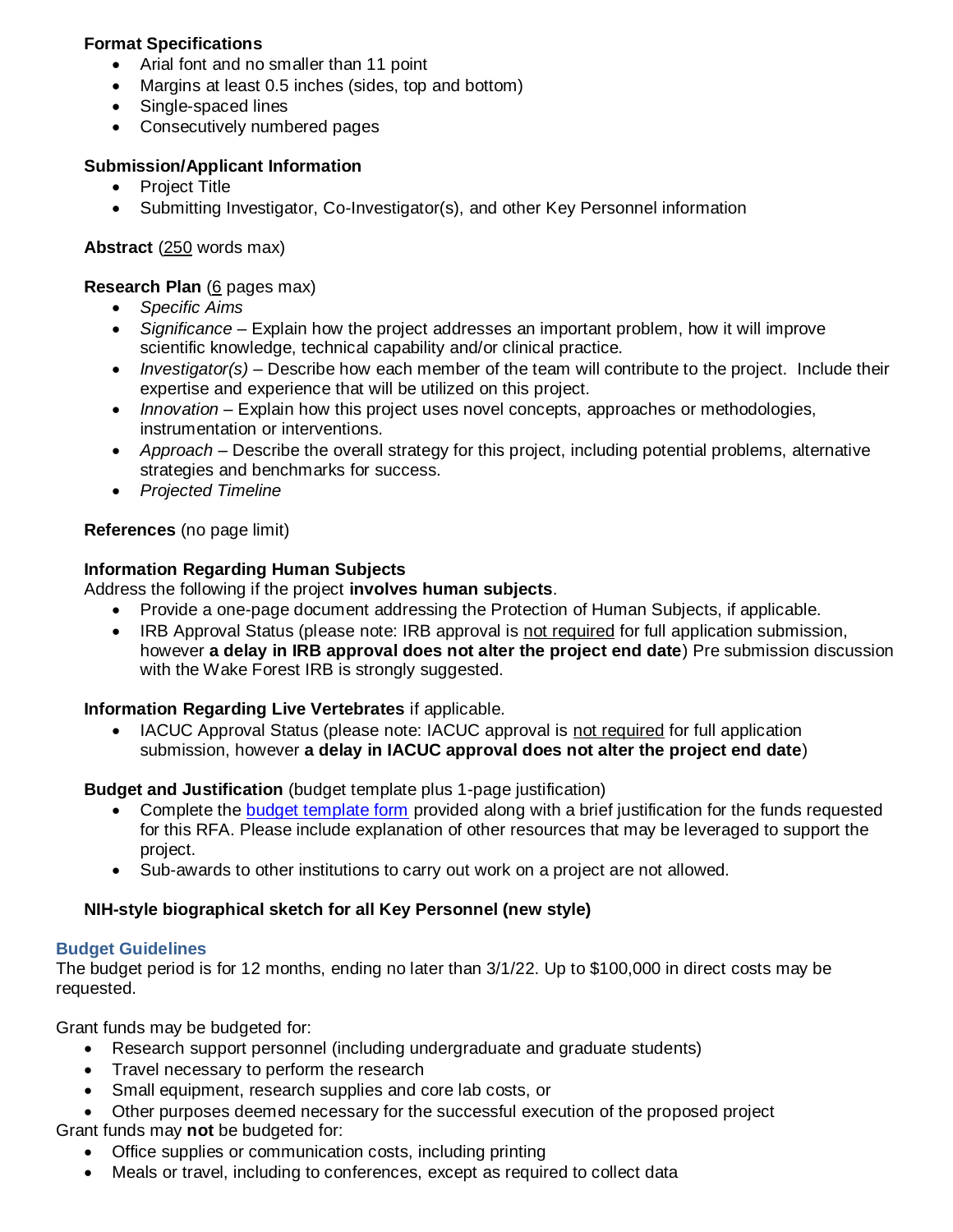## **Format Specifications**

- Arial font and no smaller than 11 point
- Margins at least 0.5 inches (sides, top and bottom)
- Single-spaced lines
- Consecutively numbered pages

### **Submission/Applicant Information**

- Project Title
- Submitting Investigator, Co-Investigator(s), and other Key Personnel information

### **Abstract** (250 words max)

**Research Plan** (6 pages max)

- *Specific Aims*
- *Significance* Explain how the project addresses an important problem, how it will improve scientific knowledge, technical capability and/or clinical practice.
- *Investigator(s)* Describe how each member of the team will contribute to the project. Include their expertise and experience that will be utilized on this project.
- *Innovation* Explain how this project uses novel concepts, approaches or methodologies, instrumentation or interventions.
- *Approach* Describe the overall strategy for this project, including potential problems, alternative strategies and benchmarks for success.
- *Projected Timeline*

### **References** (no page limit)

### **Information Regarding Human Subjects**

Address the following if the project **involves human subjects**.

- Provide a one-page document addressing the Protection of Human Subjects, if applicable.
- IRB Approval Status (please note: IRB approval is not required for full application submission, however **a delay in IRB approval does not alter the project end date**) Pre submission discussion with the Wake Forest IRB is strongly suggested.

### **Information Regarding Live Vertebrates** if applicable.

• IACUC Approval Status (please note: IACUC approval is not required for full application submission, however **a delay in IACUC approval does not alter the project end date**)

### **Budget and Justification** (budget template plus 1-page justification)

- Complete the [budget template form](https://wakehealth.sharepoint.com/:x:/r/teams/CTSIWebCollection/Shared%20Documents/CSTI-Public/CTSI%20Pilot%20Budget%20Template.xlsx) provided along with a brief justification for the funds requested for this RFA. Please include explanation of other resources that may be leveraged to support the project.
- Sub-awards to other institutions to carry out work on a project are not allowed.

# **NIH-style biographical sketch for all Key Personnel (new style)**

### **Budget Guidelines**

The budget period is for 12 months, ending no later than 3/1/22. Up to \$100,000 in direct costs may be requested.

Grant funds may be budgeted for:

- Research support personnel (including undergraduate and graduate students)
- Travel necessary to perform the research
- Small equipment, research supplies and core lab costs, or
- Other purposes deemed necessary for the successful execution of the proposed project Grant funds may **not** be budgeted for:
	- Office supplies or communication costs, including printing
	- Meals or travel, including to conferences, except as required to collect data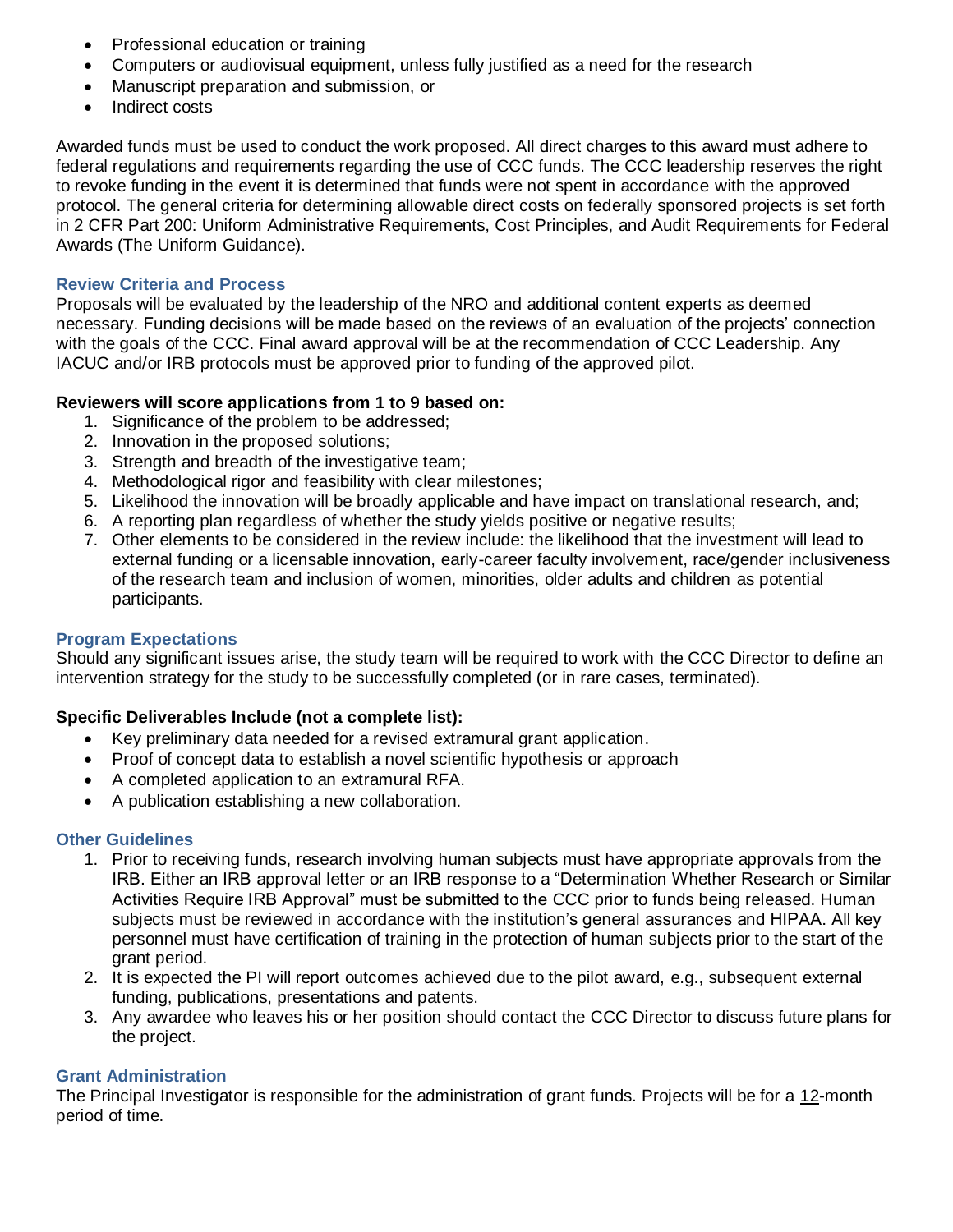- Professional education or training
- Computers or audiovisual equipment, unless fully justified as a need for the research
- Manuscript preparation and submission, or
- Indirect costs

Awarded funds must be used to conduct the work proposed. All direct charges to this award must adhere to federal regulations and requirements regarding the use of CCC funds. The CCC leadership reserves the right to revoke funding in the event it is determined that funds were not spent in accordance with the approved protocol. The general criteria for determining allowable direct costs on federally sponsored projects is set forth in 2 CFR Part 200: Uniform Administrative Requirements, Cost Principles, and Audit Requirements for Federal Awards (The Uniform Guidance).

#### **Review Criteria and Process**

Proposals will be evaluated by the leadership of the NRO and additional content experts as deemed necessary. Funding decisions will be made based on the reviews of an evaluation of the projects' connection with the goals of the CCC. Final award approval will be at the recommendation of CCC Leadership. Any IACUC and/or IRB protocols must be approved prior to funding of the approved pilot.

### **Reviewers will score applications from 1 to 9 based on:**

- 1. Significance of the problem to be addressed;
- 2. Innovation in the proposed solutions;
- 3. Strength and breadth of the investigative team;
- 4. Methodological rigor and feasibility with clear milestones;
- 5. Likelihood the innovation will be broadly applicable and have impact on translational research, and;
- 6. A reporting plan regardless of whether the study yields positive or negative results;
- 7. Other elements to be considered in the review include: the likelihood that the investment will lead to external funding or a licensable innovation, early-career faculty involvement, race/gender inclusiveness of the research team and inclusion of women, minorities, older adults and children as potential participants.

### **Program Expectations**

Should any significant issues arise, the study team will be required to work with the CCC Director to define an intervention strategy for the study to be successfully completed (or in rare cases, terminated).

### **Specific Deliverables Include (not a complete list):**

- Key preliminary data needed for a revised extramural grant application.
- Proof of concept data to establish a novel scientific hypothesis or approach
- A completed application to an extramural RFA.
- A publication establishing a new collaboration.

#### **Other Guidelines**

- 1. Prior to receiving funds, research involving human subjects must have appropriate approvals from the IRB. Either an IRB approval letter or an IRB response to a "Determination Whether Research or Similar Activities Require IRB Approval" must be submitted to the CCC prior to funds being released. Human subjects must be reviewed in accordance with the institution's general assurances and HIPAA. All key personnel must have certification of training in the protection of human subjects prior to the start of the grant period.
- 2. It is expected the PI will report outcomes achieved due to the pilot award, e.g., subsequent external funding, publications, presentations and patents.
- 3. Any awardee who leaves his or her position should contact the CCC Director to discuss future plans for the project.

### **Grant Administration**

The Principal Investigator is responsible for the administration of grant funds. Projects will be for a 12-month period of time.